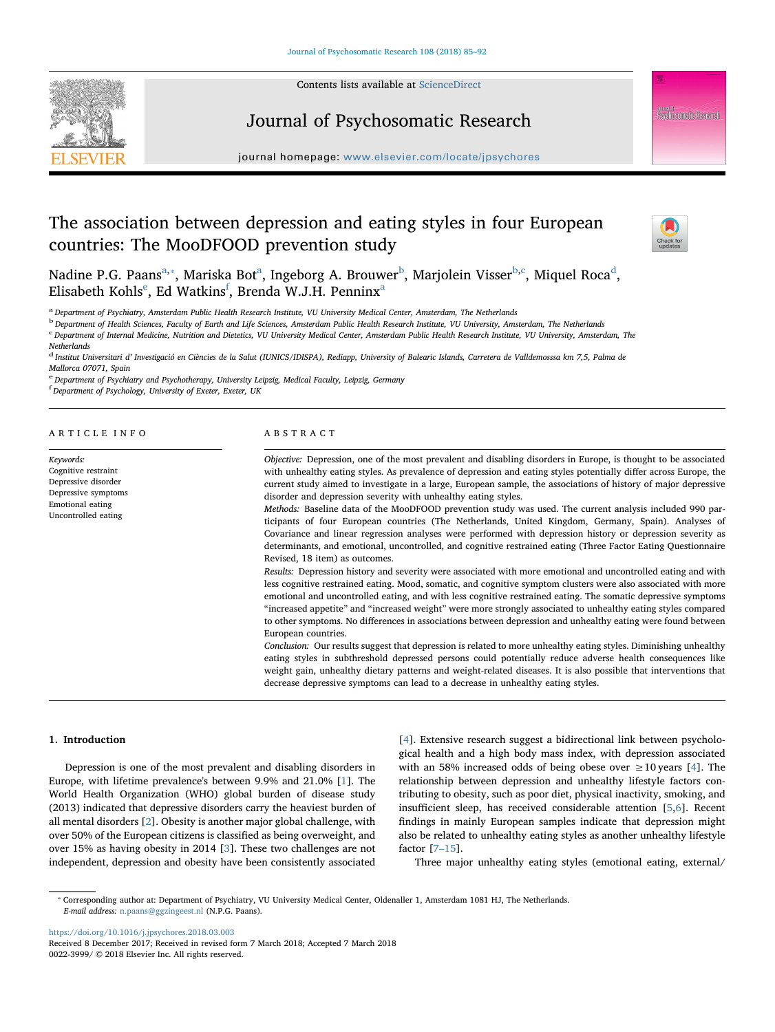

Contents lists available at [ScienceDirect](http://www.sciencedirect.com/science/journal/00223999)

## Journal of Psychosomatic Research

journal home page: [www.elsevier.com/locate/jpsychores](https://www.elsevier.com/locate/jpsychores).com/locate/

# The association between depression and eating styles in four European countries: The MooDFOOD prevention study



N[a](#page-0-0)[d](#page-0-4)ine P.G. Paans $^{\rm a, *},$  Mariska Bot $^{\rm a}$ , Inge[b](#page-0-2)org A. Brouwer $^{\rm b}$ , Marjolein Visser $^{\rm b, c}$ , Miquel Roca $^{\rm d}$ , Elisab[e](#page-0-5)th Kohls $^{\rm e}$ , Ed W[a](#page-0-0)tkins $^{\rm f}$  $^{\rm f}$  $^{\rm f}$ , Brenda W.J.H. Penninx $^{\rm a}$ 

<span id="page-0-0"></span>a Department of Psychiatry, Amsterdam Public Health Research Institute, VU University Medical Center, Amsterdam, The Netherlands

<span id="page-0-2"></span><sup>b</sup> Department of Health Sciences, Faculty of Earth and Life Sciences, Amsterdam Public Health Research Institute, VU University, Amsterdam, The Netherlands

<span id="page-0-3"></span><sup>c</sup> Department of Internal Medicine, Nutrition and Dietetics, VU University Medical Center, Amsterdam Public Health Research Institute, VU University, Amsterdam, The

**Netherlands** 

Keywords: Cognitive restraint Depressive disorder Depressive symptoms Emotional eating Uncontrolled eating

<span id="page-0-4"></span><sup>d</sup> Institut Universitari d' Investigació en Ciències de la Salut (IUNICS/IDISPA), Rediapp, University of Balearic Islands, Carretera de Valldemosssa km 7,5, Palma de Mallorca 07071, Spain

<span id="page-0-5"></span><sup>e</sup> Department of Psychiatry and Psychotherapy, University Leipzig, Medical Faculty, Leipzig, Germany

<span id="page-0-6"></span>f Department of Psychology, University of Exeter, Exeter, UK

### ARTICLE INFO

ABSTRACT

Objective: Depression, one of the most prevalent and disabling disorders in Europe, is thought to be associated with unhealthy eating styles. As prevalence of depression and eating styles potentially differ across Europe, the current study aimed to investigate in a large, European sample, the associations of history of major depressive disorder and depression severity with unhealthy eating styles.

Methods: Baseline data of the MooDFOOD prevention study was used. The current analysis included 990 participants of four European countries (The Netherlands, United Kingdom, Germany, Spain). Analyses of Covariance and linear regression analyses were performed with depression history or depression severity as determinants, and emotional, uncontrolled, and cognitive restrained eating (Three Factor Eating Questionnaire Revised, 18 item) as outcomes.

Results: Depression history and severity were associated with more emotional and uncontrolled eating and with less cognitive restrained eating. Mood, somatic, and cognitive symptom clusters were also associated with more emotional and uncontrolled eating, and with less cognitive restrained eating. The somatic depressive symptoms "increased appetite" and "increased weight" were more strongly associated to unhealthy eating styles compared to other symptoms. No differences in associations between depression and unhealthy eating were found between European countries.

Conclusion: Our results suggest that depression is related to more unhealthy eating styles. Diminishing unhealthy eating styles in subthreshold depressed persons could potentially reduce adverse health consequences like weight gain, unhealthy dietary patterns and weight-related diseases. It is also possible that interventions that decrease depressive symptoms can lead to a decrease in unhealthy eating styles.

## 1. Introduction

Depression is one of the most prevalent and disabling disorders in Europe, with lifetime prevalence's between 9.9% and 21.0% [\[1\]](#page-6-0). The World Health Organization (WHO) global burden of disease study (2013) indicated that depressive disorders carry the heaviest burden of all mental disorders [[2](#page-6-1)]. Obesity is another major global challenge, with over 50% of the European citizens is classified as being overweight, and over 15% as having obesity in 2014 [\[3\]](#page-6-2). These two challenges are not independent, depression and obesity have been consistently associated

[[4](#page-6-3)]. Extensive research suggest a bidirectional link between psychological health and a high body mass index, with depression associated with an 58% increased odds of being obese over  $\geq 10$  years [\[4\]](#page-6-3). The relationship between depression and unhealthy lifestyle factors contributing to obesity, such as poor diet, physical inactivity, smoking, and insufficient sleep, has received considerable attention [[5](#page-6-4)[,6\]](#page-6-5). Recent findings in mainly European samples indicate that depression might also be related to unhealthy eating styles as another unhealthy lifestyle factor [7–[15\]](#page-6-6).

Three major unhealthy eating styles (emotional eating, external/

<https://doi.org/10.1016/j.jpsychores.2018.03.003>

<span id="page-0-1"></span><sup>⁎</sup> Corresponding author at: Department of Psychiatry, VU University Medical Center, Oldenaller 1, Amsterdam 1081 HJ, The Netherlands. E-mail address: [n.paans@ggzingeest.nl](mailto:n.paans@ggzingeest.nl) (N.P.G. Paans).

Received 8 December 2017; Received in revised form 7 March 2018; Accepted 7 March 2018 0022-3999/ © 2018 Elsevier Inc. All rights reserved.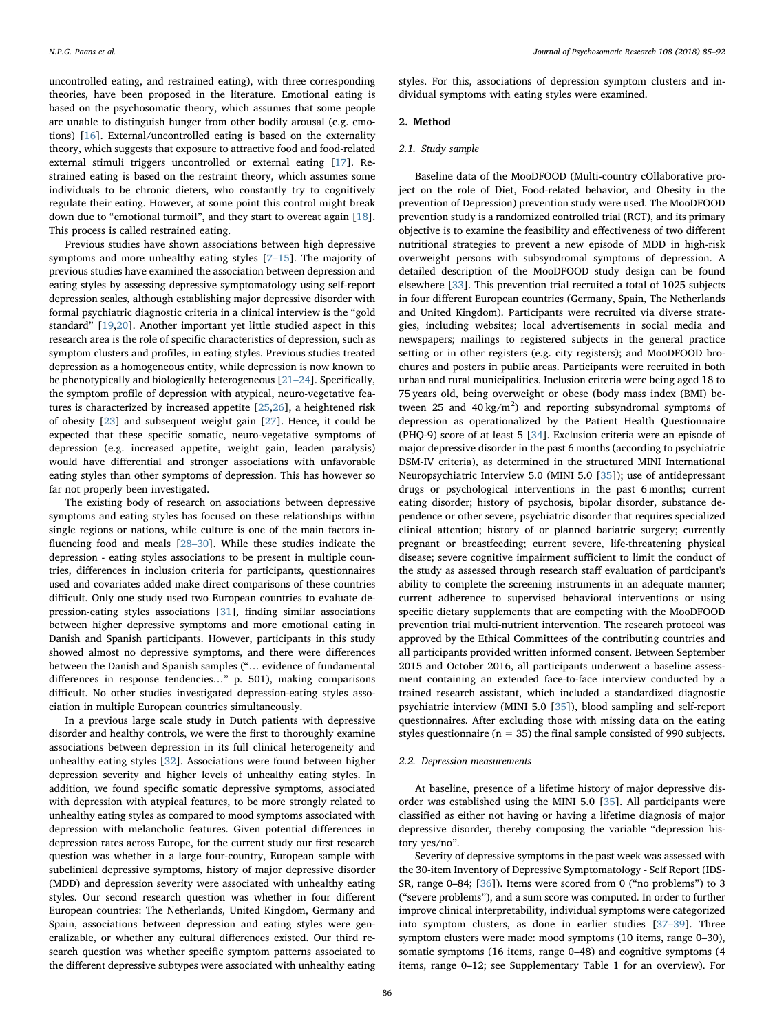uncontrolled eating, and restrained eating), with three corresponding theories, have been proposed in the literature. Emotional eating is based on the psychosomatic theory, which assumes that some people are unable to distinguish hunger from other bodily arousal (e.g. emotions) [[16\]](#page-6-7). External/uncontrolled eating is based on the externality theory, which suggests that exposure to attractive food and food-related external stimuli triggers uncontrolled or external eating [[17\]](#page-6-8). Restrained eating is based on the restraint theory, which assumes some individuals to be chronic dieters, who constantly try to cognitively regulate their eating. However, at some point this control might break down due to "emotional turmoil", and they start to overeat again [\[18](#page-6-9)]. This process is called restrained eating.

Previous studies have shown associations between high depressive symptoms and more unhealthy eating styles [7–[15\]](#page-6-6). The majority of previous studies have examined the association between depression and eating styles by assessing depressive symptomatology using self-report depression scales, although establishing major depressive disorder with formal psychiatric diagnostic criteria in a clinical interview is the "gold standard" [\[19](#page-6-10),[20\]](#page-6-11). Another important yet little studied aspect in this research area is the role of specific characteristics of depression, such as symptom clusters and profiles, in eating styles. Previous studies treated depression as a homogeneous entity, while depression is now known to be phenotypically and biologically heterogeneous [21–[24\]](#page-6-12). Specifically, the symptom profile of depression with atypical, neuro-vegetative features is characterized by increased appetite [\[25](#page-6-13),[26\]](#page-6-14), a heightened risk of obesity [[23\]](#page-6-15) and subsequent weight gain [[27\]](#page-6-16). Hence, it could be expected that these specific somatic, neuro-vegetative symptoms of depression (e.g. increased appetite, weight gain, leaden paralysis) would have differential and stronger associations with unfavorable eating styles than other symptoms of depression. This has however so far not properly been investigated.

The existing body of research on associations between depressive symptoms and eating styles has focused on these relationships within single regions or nations, while culture is one of the main factors influencing food and meals [28–[30\]](#page-6-17). While these studies indicate the depression - eating styles associations to be present in multiple countries, differences in inclusion criteria for participants, questionnaires used and covariates added make direct comparisons of these countries difficult. Only one study used two European countries to evaluate depression-eating styles associations [\[31](#page-6-18)], finding similar associations between higher depressive symptoms and more emotional eating in Danish and Spanish participants. However, participants in this study showed almost no depressive symptoms, and there were differences between the Danish and Spanish samples ("… evidence of fundamental differences in response tendencies…" p. 501), making comparisons difficult. No other studies investigated depression-eating styles association in multiple European countries simultaneously.

In a previous large scale study in Dutch patients with depressive disorder and healthy controls, we were the first to thoroughly examine associations between depression in its full clinical heterogeneity and unhealthy eating styles [\[32](#page-6-19)]. Associations were found between higher depression severity and higher levels of unhealthy eating styles. In addition, we found specific somatic depressive symptoms, associated with depression with atypical features, to be more strongly related to unhealthy eating styles as compared to mood symptoms associated with depression with melancholic features. Given potential differences in depression rates across Europe, for the current study our first research question was whether in a large four-country, European sample with subclinical depressive symptoms, history of major depressive disorder (MDD) and depression severity were associated with unhealthy eating styles. Our second research question was whether in four different European countries: The Netherlands, United Kingdom, Germany and Spain, associations between depression and eating styles were generalizable, or whether any cultural differences existed. Our third research question was whether specific symptom patterns associated to the different depressive subtypes were associated with unhealthy eating styles. For this, associations of depression symptom clusters and individual symptoms with eating styles were examined.

## 2. Method

## 2.1. Study sample

Baseline data of the MooDFOOD (Multi-country cOllaborative project on the role of Diet, Food-related behavior, and Obesity in the prevention of Depression) prevention study were used. The MooDFOOD prevention study is a randomized controlled trial (RCT), and its primary objective is to examine the feasibility and effectiveness of two different nutritional strategies to prevent a new episode of MDD in high-risk overweight persons with subsyndromal symptoms of depression. A detailed description of the MooDFOOD study design can be found elsewhere [[33\]](#page-6-20). This prevention trial recruited a total of 1025 subjects in four different European countries (Germany, Spain, The Netherlands and United Kingdom). Participants were recruited via diverse strategies, including websites; local advertisements in social media and newspapers; mailings to registered subjects in the general practice setting or in other registers (e.g. city registers); and MooDFOOD brochures and posters in public areas. Participants were recruited in both urban and rural municipalities. Inclusion criteria were being aged 18 to 75 years old, being overweight or obese (body mass index (BMI) between 25 and  $40 \text{ kg/m}^2$ ) and reporting subsyndromal symptoms of depression as operationalized by the Patient Health Questionnaire (PHQ-9) score of at least 5 [\[34](#page-6-21)]. Exclusion criteria were an episode of major depressive disorder in the past 6 months (according to psychiatric DSM-IV criteria), as determined in the structured MINI International Neuropsychiatric Interview 5.0 (MINI 5.0 [[35\]](#page-6-22)); use of antidepressant drugs or psychological interventions in the past 6 months; current eating disorder; history of psychosis, bipolar disorder, substance dependence or other severe, psychiatric disorder that requires specialized clinical attention; history of or planned bariatric surgery; currently pregnant or breastfeeding; current severe, life-threatening physical disease; severe cognitive impairment sufficient to limit the conduct of the study as assessed through research staff evaluation of participant's ability to complete the screening instruments in an adequate manner; current adherence to supervised behavioral interventions or using specific dietary supplements that are competing with the MooDFOOD prevention trial multi-nutrient intervention. The research protocol was approved by the Ethical Committees of the contributing countries and all participants provided written informed consent. Between September 2015 and October 2016, all participants underwent a baseline assessment containing an extended face-to-face interview conducted by a trained research assistant, which included a standardized diagnostic psychiatric interview (MINI 5.0 [[35\]](#page-6-22)), blood sampling and self-report questionnaires. After excluding those with missing data on the eating styles questionnaire (n = 35) the final sample consisted of 990 subjects.

## 2.2. Depression measurements

At baseline, presence of a lifetime history of major depressive disorder was established using the MINI 5.0 [\[35](#page-6-22)]. All participants were classified as either not having or having a lifetime diagnosis of major depressive disorder, thereby composing the variable "depression history yes/no".

Severity of depressive symptoms in the past week was assessed with the 30-item Inventory of Depressive Symptomatology - Self Report (IDS-SR, range 0–84; [\[36](#page-6-23)]). Items were scored from 0 ("no problems") to 3 ("severe problems"), and a sum score was computed. In order to further improve clinical interpretability, individual symptoms were categorized into symptom clusters, as done in earlier studies [37–[39\]](#page-6-24). Three symptom clusters were made: mood symptoms (10 items, range 0–30), somatic symptoms (16 items, range 0–48) and cognitive symptoms (4 items, range 0–12; see Supplementary Table 1 for an overview). For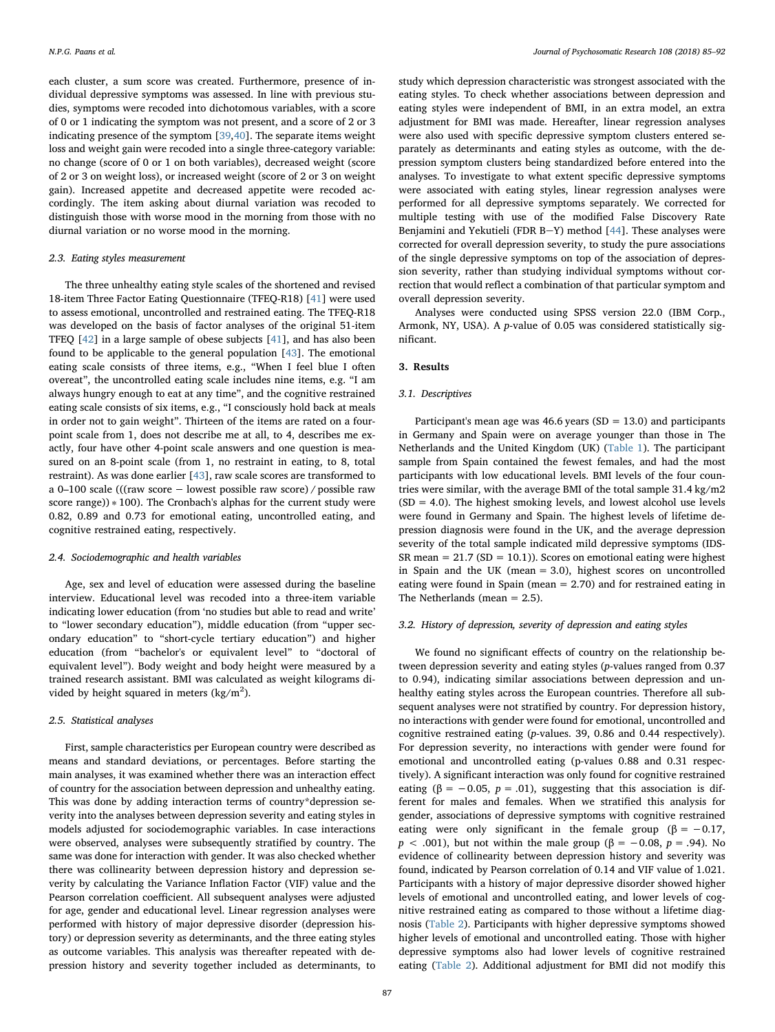each cluster, a sum score was created. Furthermore, presence of individual depressive symptoms was assessed. In line with previous studies, symptoms were recoded into dichotomous variables, with a score of 0 or 1 indicating the symptom was not present, and a score of 2 or 3 indicating presence of the symptom [[39,](#page-6-25)[40\]](#page-6-26). The separate items weight loss and weight gain were recoded into a single three-category variable: no change (score of 0 or 1 on both variables), decreased weight (score of 2 or 3 on weight loss), or increased weight (score of 2 or 3 on weight gain). Increased appetite and decreased appetite were recoded accordingly. The item asking about diurnal variation was recoded to distinguish those with worse mood in the morning from those with no diurnal variation or no worse mood in the morning.

## 2.3. Eating styles measurement

The three unhealthy eating style scales of the shortened and revised 18-item Three Factor Eating Questionnaire (TFEQ-R18) [[41\]](#page-6-27) were used to assess emotional, uncontrolled and restrained eating. The TFEQ-R18 was developed on the basis of factor analyses of the original 51-item TFEQ [\[42](#page-6-28)] in a large sample of obese subjects [\[41\]](#page-6-27), and has also been found to be applicable to the general population [\[43](#page-6-29)]. The emotional eating scale consists of three items, e.g., "When I feel blue I often overeat", the uncontrolled eating scale includes nine items, e.g. "I am always hungry enough to eat at any time", and the cognitive restrained eating scale consists of six items, e.g., "I consciously hold back at meals in order not to gain weight". Thirteen of the items are rated on a fourpoint scale from 1, does not describe me at all, to 4, describes me exactly, four have other 4-point scale answers and one question is measured on an 8-point scale (from 1, no restraint in eating, to 8, total restraint). As was done earlier [[43\]](#page-6-29), raw scale scores are transformed to a 0–100 scale (((raw score − lowest possible raw score) / possible raw score range))  $* 100$ ). The Cronbach's alphas for the current study were 0.82, 0.89 and 0.73 for emotional eating, uncontrolled eating, and cognitive restrained eating, respectively.

## 2.4. Sociodemographic and health variables

Age, sex and level of education were assessed during the baseline interview. Educational level was recoded into a three-item variable indicating lower education (from 'no studies but able to read and write' to "lower secondary education"), middle education (from "upper secondary education" to "short-cycle tertiary education") and higher education (from "bachelor's or equivalent level" to "doctoral of equivalent level"). Body weight and body height were measured by a trained research assistant. BMI was calculated as weight kilograms divided by height squared in meters  $\frac{\text{kg}}{m^2}$ ).

#### 2.5. Statistical analyses

First, sample characteristics per European country were described as means and standard deviations, or percentages. Before starting the main analyses, it was examined whether there was an interaction effect of country for the association between depression and unhealthy eating. This was done by adding interaction terms of country\*depression severity into the analyses between depression severity and eating styles in models adjusted for sociodemographic variables. In case interactions were observed, analyses were subsequently stratified by country. The same was done for interaction with gender. It was also checked whether there was collinearity between depression history and depression severity by calculating the Variance Inflation Factor (VIF) value and the Pearson correlation coefficient. All subsequent analyses were adjusted for age, gender and educational level. Linear regression analyses were performed with history of major depressive disorder (depression history) or depression severity as determinants, and the three eating styles as outcome variables. This analysis was thereafter repeated with depression history and severity together included as determinants, to study which depression characteristic was strongest associated with the eating styles. To check whether associations between depression and eating styles were independent of BMI, in an extra model, an extra adjustment for BMI was made. Hereafter, linear regression analyses were also used with specific depressive symptom clusters entered separately as determinants and eating styles as outcome, with the depression symptom clusters being standardized before entered into the analyses. To investigate to what extent specific depressive symptoms were associated with eating styles, linear regression analyses were performed for all depressive symptoms separately. We corrected for multiple testing with use of the modified False Discovery Rate Benjamini and Yekutieli (FDR B-Y) method  $[44]$  $[44]$ . These analyses were corrected for overall depression severity, to study the pure associations of the single depressive symptoms on top of the association of depression severity, rather than studying individual symptoms without correction that would reflect a combination of that particular symptom and overall depression severity.

Analyses were conducted using SPSS version 22.0 (IBM Corp., Armonk, NY, USA). A p-value of 0.05 was considered statistically significant.

#### 3. Results

## 3.1. Descriptives

Participant's mean age was 46.6 years ( $SD = 13.0$ ) and participants in Germany and Spain were on average younger than those in The Netherlands and the United Kingdom (UK) [\(Table 1](#page-3-0)). The participant sample from Spain contained the fewest females, and had the most participants with low educational levels. BMI levels of the four countries were similar, with the average BMI of the total sample 31.4 kg/m2  $(SD = 4.0)$ . The highest smoking levels, and lowest alcohol use levels were found in Germany and Spain. The highest levels of lifetime depression diagnosis were found in the UK, and the average depression severity of the total sample indicated mild depressive symptoms (IDS-SR mean =  $21.7$  (SD = 10.1)). Scores on emotional eating were highest in Spain and the UK (mean = 3.0), highest scores on uncontrolled eating were found in Spain (mean = 2.70) and for restrained eating in The Netherlands (mean = 2.5).

#### 3.2. History of depression, severity of depression and eating styles

We found no significant effects of country on the relationship between depression severity and eating styles (p-values ranged from 0.37 to 0.94), indicating similar associations between depression and unhealthy eating styles across the European countries. Therefore all subsequent analyses were not stratified by country. For depression history, no interactions with gender were found for emotional, uncontrolled and cognitive restrained eating (p-values. 39, 0.86 and 0.44 respectively). For depression severity, no interactions with gender were found for emotional and uncontrolled eating (p-values 0.88 and 0.31 respectively). A significant interaction was only found for cognitive restrained eating ( $\beta$  = -0.05, p = .01), suggesting that this association is different for males and females. When we stratified this analysis for gender, associations of depressive symptoms with cognitive restrained eating were only significant in the female group ( $\beta = -0.17$ ,  $p < .001$ ), but not within the male group ( $\beta = -0.08$ ,  $p = .94$ ). No evidence of collinearity between depression history and severity was found, indicated by Pearson correlation of 0.14 and VIF value of 1.021. Participants with a history of major depressive disorder showed higher levels of emotional and uncontrolled eating, and lower levels of cognitive restrained eating as compared to those without a lifetime diagnosis ([Table 2\)](#page-3-1). Participants with higher depressive symptoms showed higher levels of emotional and uncontrolled eating. Those with higher depressive symptoms also had lower levels of cognitive restrained eating ([Table 2](#page-3-1)). Additional adjustment for BMI did not modify this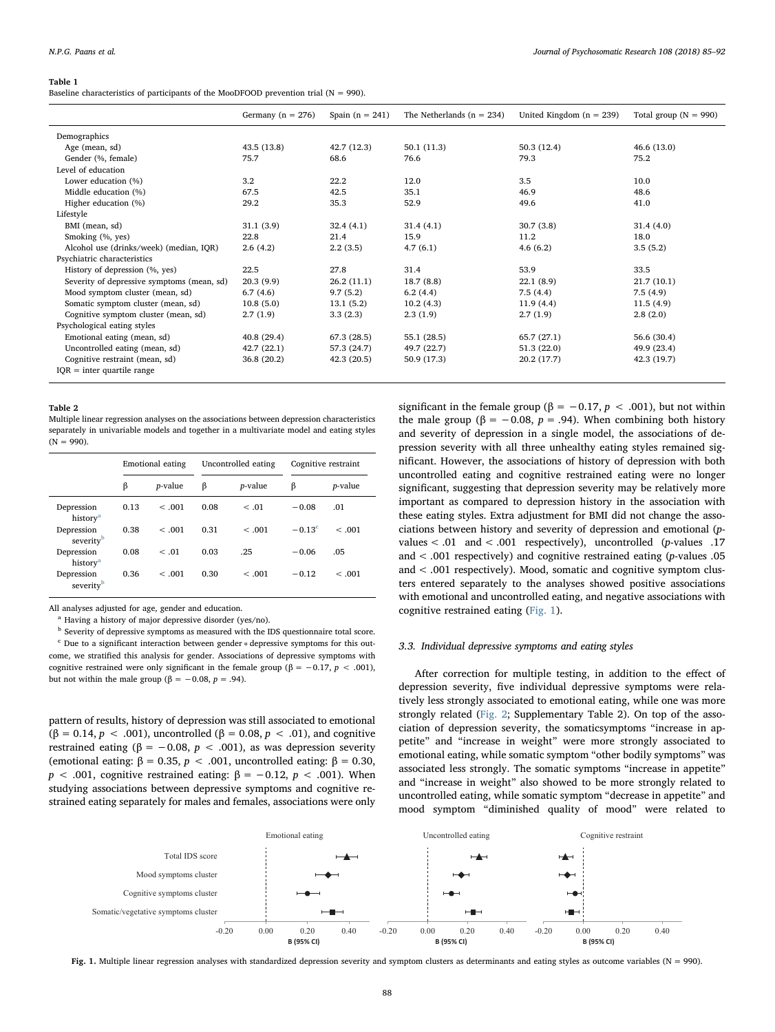#### <span id="page-3-0"></span>Table 1

Baseline characteristics of participants of the MooDFOOD prevention trial ( $N = 990$ ).

|                                            | Germany ( $n = 276$ ) | Spain $(n = 241)$ | The Netherlands $(n = 234)$ | United Kingdom $(n = 239)$ | Total group ( $N = 990$ ) |
|--------------------------------------------|-----------------------|-------------------|-----------------------------|----------------------------|---------------------------|
| Demographics                               |                       |                   |                             |                            |                           |
| Age (mean, sd)                             | 43.5(13.8)            | 42.7(12.3)        | 50.1(11.3)                  | 50.3(12.4)                 | 46.6(13.0)                |
| Gender (%, female)                         | 75.7                  | 68.6              | 76.6                        | 79.3                       | 75.2                      |
| Level of education                         |                       |                   |                             |                            |                           |
| Lower education (%)                        | 3.2                   | 22.2              | 12.0                        | 3.5                        | 10.0                      |
| Middle education (%)                       | 67.5                  | 42.5              | 35.1                        | 46.9                       | 48.6                      |
| Higher education (%)                       | 29.2                  | 35.3              | 52.9                        | 49.6                       | 41.0                      |
| Lifestyle                                  |                       |                   |                             |                            |                           |
| BMI (mean, sd)                             | 31.1(3.9)             | 32.4(4.1)         | 31.4(4.1)                   | 30.7(3.8)                  | 31.4(4.0)                 |
| Smoking (%, yes)                           | 22.8                  | 21.4              | 15.9                        | 11.2                       | 18.0                      |
| Alcohol use (drinks/week) (median, IQR)    | 2.6(4.2)              | 2.2(3.5)          | 4.7(6.1)                    | 4.6(6.2)                   | 3.5(5.2)                  |
| Psychiatric characteristics                |                       |                   |                             |                            |                           |
| History of depression (%, yes)             | 22.5                  | 27.8              | 31.4                        | 53.9                       | 33.5                      |
| Severity of depressive symptoms (mean, sd) | 20.3(9.9)             | 26.2(11.1)        | 18.7(8.8)                   | 22.1(8.9)                  | 21.7(10.1)                |
| Mood symptom cluster (mean, sd)            | 6.7(4.6)              | 9.7(5.2)          | 6.2(4.4)                    | 7.5(4.4)                   | 7.5(4.9)                  |
| Somatic symptom cluster (mean, sd)         | 10.8(5.0)             | 13.1(5.2)         | 10.2(4.3)                   | 11.9(4.4)                  | 11.5(4.9)                 |
| Cognitive symptom cluster (mean, sd)       | 2.7(1.9)              | 3.3(2.3)          | 2.3(1.9)                    | 2.7(1.9)                   | 2.8(2.0)                  |
| Psychological eating styles                |                       |                   |                             |                            |                           |
| Emotional eating (mean, sd)                | 40.8(29.4)            | 67.3(28.5)        | 55.1 (28.5)                 | 65.7 (27.1)                | 56.6 (30.4)               |
| Uncontrolled eating (mean, sd)             | 42.7(22.1)            | 57.3 (24.7)       | 49.7 (22.7)                 | 51.3(22.0)                 | 49.9 (23.4)               |
| Cognitive restraint (mean, sd)             | 36.8 (20.2)           | 42.3(20.5)        | 50.9 (17.3)                 | 20.2 (17.7)                | 42.3 (19.7)               |
| $IQR = inter quartile range$               |                       |                   |                             |                            |                           |

#### <span id="page-3-1"></span>Table 2

Multiple linear regression analyses on the associations between depression characteristics separately in univariable models and together in a multivariate model and eating styles  $(N = 990)$ 

|                                     | Emotional eating |                 | Uncontrolled eating |                 | Cognitive restraint |                 |
|-------------------------------------|------------------|-----------------|---------------------|-----------------|---------------------|-----------------|
|                                     | β                | <i>p</i> -value | ß                   | <i>p</i> -value | β                   | <i>p</i> -value |
| Depression<br>history <sup>a</sup>  | 0.13             | < 0.001         | 0.08                | < .01           | $-0.08$             | .01             |
| Depression<br>severity <sup>b</sup> | 0.38             | < .001          | 0.31                | < .001          | $-0.13^{\circ}$     | < 0.001         |
| Depression<br>history <sup>a</sup>  | 0.08             | < .01           | 0.03                | .25             | $-0.06$             | .05             |
| Depression<br>severity <sup>b</sup> | 0.36             | < .001          | 0.30                | < 0.01          | $-0.12$             | < 0.001         |

All analyses adjusted for age, gender and education.

<span id="page-3-3"></span><sup>a</sup> Having a history of major depressive disorder (yes/no).

<span id="page-3-5"></span><span id="page-3-4"></span><sup>b</sup> Severity of depressive symptoms as measured with the IDS questionnaire total score. <sup>c</sup> Due to a significant interaction between gender ∗ depressive symptoms for this outcome, we stratified this analysis for gender. Associations of depressive symptoms with cognitive restrained were only significant in the female group ( $\beta$  = −0.17, p < .001), but not within the male group (β = -0.08,  $p = .94$ ).

pattern of results, history of depression was still associated to emotional (β = 0.14, *p* < .001), uncontrolled (β = 0.08, *p* < .01), and cognitive restrained eating ( $\beta = -0.08$ ,  $p < .001$ ), as was depression severity (emotional eating: β = 0.35, *p* < .001, uncontrolled eating: β = 0.30,  $p$  < .001, cognitive restrained eating: β = −0.12,  $p$  < .001). When studying associations between depressive symptoms and cognitive restrained eating separately for males and females, associations were only

significant in the female group ( $\beta = -0.17$ ,  $p < .001$ ), but not within the male group ( $\beta = -0.08$ ,  $p = .94$ ). When combining both history and severity of depression in a single model, the associations of depression severity with all three unhealthy eating styles remained significant. However, the associations of history of depression with both uncontrolled eating and cognitive restrained eating were no longer significant, suggesting that depression severity may be relatively more important as compared to depression history in the association with these eating styles. Extra adjustment for BMI did not change the associations between history and severity of depression and emotional (pvalues < .01 and < .001 respectively), uncontrolled (p-values .17 and < .001 respectively) and cognitive restrained eating (p-values .05 and < .001 respectively). Mood, somatic and cognitive symptom clusters entered separately to the analyses showed positive associations with emotional and uncontrolled eating, and negative associations with cognitive restrained eating [\(Fig. 1](#page-3-2)).

## 3.3. Individual depressive symptoms and eating styles

After correction for multiple testing, in addition to the effect of depression severity, five individual depressive symptoms were relatively less strongly associated to emotional eating, while one was more strongly related [\(Fig. 2](#page-4-0); Supplementary Table 2). On top of the association of depression severity, the somaticsymptoms "increase in appetite" and "increase in weight" were more strongly associated to emotional eating, while somatic symptom "other bodily symptoms" was associated less strongly. The somatic symptoms "increase in appetite" and "increase in weight" also showed to be more strongly related to uncontrolled eating, while somatic symptom "decrease in appetite" and mood symptom "diminished quality of mood" were related to

<span id="page-3-2"></span>

Fig. 1. Multiple linear regression analyses with standardized depression severity and symptom clusters as determinants and eating styles as outcome variables (N = 990).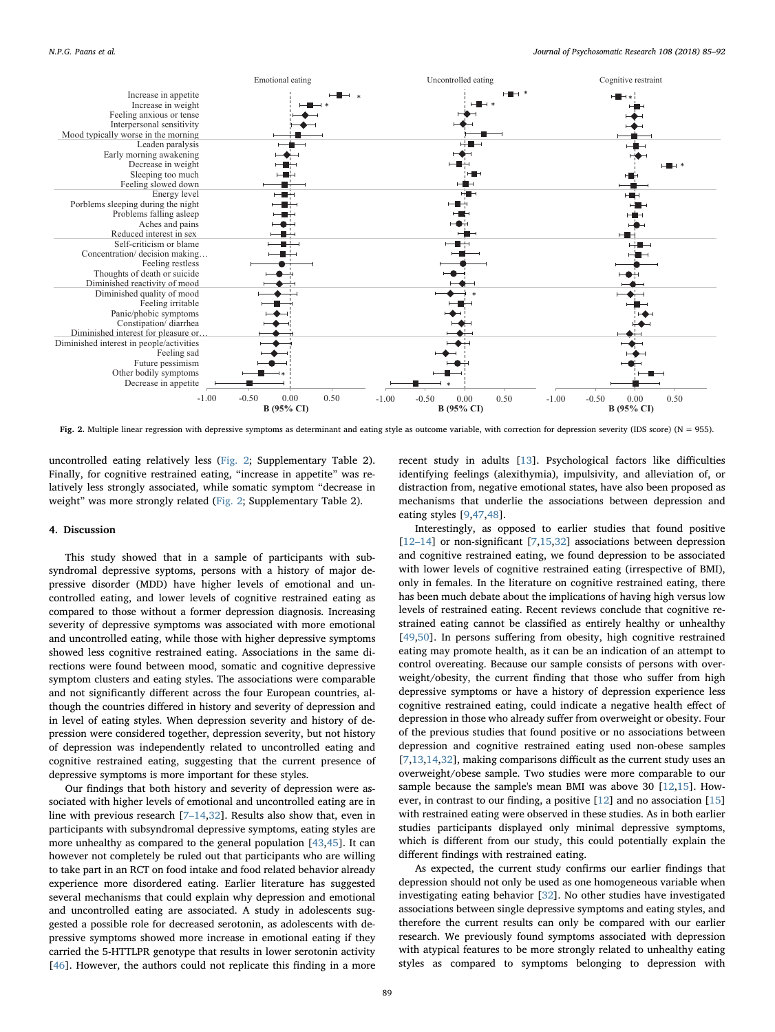<span id="page-4-0"></span>

Fig. 2. Multiple linear regression with depressive symptoms as determinant and eating style as outcome variable, with correction for depression severity (IDS score) (N = 955).

uncontrolled eating relatively less ([Fig. 2;](#page-4-0) Supplementary Table 2). Finally, for cognitive restrained eating, "increase in appetite" was relatively less strongly associated, while somatic symptom "decrease in weight" was more strongly related [\(Fig. 2;](#page-4-0) Supplementary Table 2).

## 4. Discussion

This study showed that in a sample of participants with subsyndromal depressive syptoms, persons with a history of major depressive disorder (MDD) have higher levels of emotional and uncontrolled eating, and lower levels of cognitive restrained eating as compared to those without a former depression diagnosis. Increasing severity of depressive symptoms was associated with more emotional and uncontrolled eating, while those with higher depressive symptoms showed less cognitive restrained eating. Associations in the same directions were found between mood, somatic and cognitive depressive symptom clusters and eating styles. The associations were comparable and not significantly different across the four European countries, although the countries differed in history and severity of depression and in level of eating styles. When depression severity and history of depression were considered together, depression severity, but not history of depression was independently related to uncontrolled eating and cognitive restrained eating, suggesting that the current presence of depressive symptoms is more important for these styles.

Our findings that both history and severity of depression were associated with higher levels of emotional and uncontrolled eating are in line with previous research [7–[14](#page-6-6),[32\]](#page-6-19). Results also show that, even in participants with subsyndromal depressive symptoms, eating styles are more unhealthy as compared to the general population [\[43](#page-6-29)[,45](#page-6-31)]. It can however not completely be ruled out that participants who are willing to take part in an RCT on food intake and food related behavior already experience more disordered eating. Earlier literature has suggested several mechanisms that could explain why depression and emotional and uncontrolled eating are associated. A study in adolescents suggested a possible role for decreased serotonin, as adolescents with depressive symptoms showed more increase in emotional eating if they carried the 5-HTTLPR genotype that results in lower serotonin activity [[46\]](#page-7-0). However, the authors could not replicate this finding in a more

recent study in adults [\[13](#page-6-32)]. Psychological factors like difficulties identifying feelings (alexithymia), impulsivity, and alleviation of, or distraction from, negative emotional states, have also been proposed as mechanisms that underlie the associations between depression and eating styles [[9](#page-6-33)[,47](#page-7-1),[48\]](#page-7-2).

Interestingly, as opposed to earlier studies that found positive [12–[14\]](#page-6-34) or non-significant [\[7](#page-6-6)[,15](#page-6-35)[,32](#page-6-19)] associations between depression and cognitive restrained eating, we found depression to be associated with lower levels of cognitive restrained eating (irrespective of BMI), only in females. In the literature on cognitive restrained eating, there has been much debate about the implications of having high versus low levels of restrained eating. Recent reviews conclude that cognitive restrained eating cannot be classified as entirely healthy or unhealthy [[49](#page-7-3)[,50](#page-7-4)]. In persons suffering from obesity, high cognitive restrained eating may promote health, as it can be an indication of an attempt to control overeating. Because our sample consists of persons with overweight/obesity, the current finding that those who suffer from high depressive symptoms or have a history of depression experience less cognitive restrained eating, could indicate a negative health effect of depression in those who already suffer from overweight or obesity. Four of the previous studies that found positive or no associations between depression and cognitive restrained eating used non-obese samples [[7](#page-6-6),[13,](#page-6-32)[14,](#page-6-36)[32](#page-6-19)], making comparisons difficult as the current study uses an overweight/obese sample. Two studies were more comparable to our sample because the sample's mean BMI was above 30 [[12,](#page-6-34)[15\]](#page-6-35). However, in contrast to our finding, a positive [\[12](#page-6-34)] and no association [\[15](#page-6-35)] with restrained eating were observed in these studies. As in both earlier studies participants displayed only minimal depressive symptoms, which is different from our study, this could potentially explain the different findings with restrained eating.

As expected, the current study confirms our earlier findings that depression should not only be used as one homogeneous variable when investigating eating behavior [[32\]](#page-6-19). No other studies have investigated associations between single depressive symptoms and eating styles, and therefore the current results can only be compared with our earlier research. We previously found symptoms associated with depression with atypical features to be more strongly related to unhealthy eating styles as compared to symptoms belonging to depression with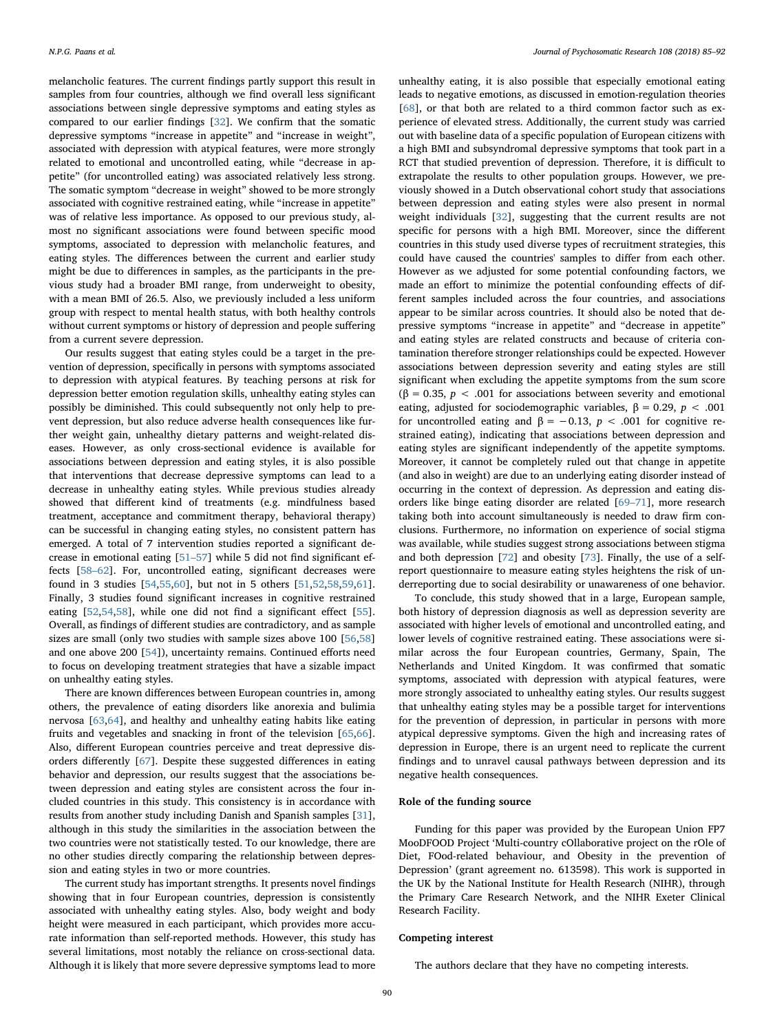melancholic features. The current findings partly support this result in samples from four countries, although we find overall less significant associations between single depressive symptoms and eating styles as compared to our earlier findings [\[32](#page-6-19)]. We confirm that the somatic depressive symptoms "increase in appetite" and "increase in weight", associated with depression with atypical features, were more strongly related to emotional and uncontrolled eating, while "decrease in appetite" (for uncontrolled eating) was associated relatively less strong. The somatic symptom "decrease in weight" showed to be more strongly associated with cognitive restrained eating, while "increase in appetite" was of relative less importance. As opposed to our previous study, almost no significant associations were found between specific mood symptoms, associated to depression with melancholic features, and eating styles. The differences between the current and earlier study might be due to differences in samples, as the participants in the previous study had a broader BMI range, from underweight to obesity, with a mean BMI of 26.5. Also, we previously included a less uniform group with respect to mental health status, with both healthy controls without current symptoms or history of depression and people suffering from a current severe depression.

Our results suggest that eating styles could be a target in the prevention of depression, specifically in persons with symptoms associated to depression with atypical features. By teaching persons at risk for depression better emotion regulation skills, unhealthy eating styles can possibly be diminished. This could subsequently not only help to prevent depression, but also reduce adverse health consequences like further weight gain, unhealthy dietary patterns and weight-related diseases. However, as only cross-sectional evidence is available for associations between depression and eating styles, it is also possible that interventions that decrease depressive symptoms can lead to a decrease in unhealthy eating styles. While previous studies already showed that different kind of treatments (e.g. mindfulness based treatment, acceptance and commitment therapy, behavioral therapy) can be successful in changing eating styles, no consistent pattern has emerged. A total of 7 intervention studies reported a significant decrease in emotional eating [51–[57\]](#page-7-5) while 5 did not find significant effects [58–[62\]](#page-7-6). For, uncontrolled eating, significant decreases were found in 3 studies [\[54](#page-7-7),[55,](#page-7-8)[60\]](#page-7-9), but not in 5 others [\[51](#page-7-5)[,52](#page-7-10),[58,](#page-7-6)[59,](#page-7-11)[61](#page-7-12)]. Finally, 3 studies found significant increases in cognitive restrained eating [[52](#page-7-10)[,54](#page-7-7)[,58](#page-7-6)], while one did not find a significant effect [\[55](#page-7-8)]. Overall, as findings of different studies are contradictory, and as sample sizes are small (only two studies with sample sizes above 100 [\[56](#page-7-13)[,58](#page-7-6)] and one above 200 [[54\]](#page-7-7)), uncertainty remains. Continued efforts need to focus on developing treatment strategies that have a sizable impact on unhealthy eating styles.

There are known differences between European countries in, among others, the prevalence of eating disorders like anorexia and bulimia nervosa [\[63](#page-7-14),[64\]](#page-7-15), and healthy and unhealthy eating habits like eating fruits and vegetables and snacking in front of the television [[65,](#page-7-16)[66](#page-7-17)]. Also, different European countries perceive and treat depressive disorders differently [\[67](#page-7-18)]. Despite these suggested differences in eating behavior and depression, our results suggest that the associations between depression and eating styles are consistent across the four included countries in this study. This consistency is in accordance with results from another study including Danish and Spanish samples [\[31](#page-6-18)], although in this study the similarities in the association between the two countries were not statistically tested. To our knowledge, there are no other studies directly comparing the relationship between depression and eating styles in two or more countries.

The current study has important strengths. It presents novel findings showing that in four European countries, depression is consistently associated with unhealthy eating styles. Also, body weight and body height were measured in each participant, which provides more accurate information than self-reported methods. However, this study has several limitations, most notably the reliance on cross-sectional data. Although it is likely that more severe depressive symptoms lead to more

unhealthy eating, it is also possible that especially emotional eating leads to negative emotions, as discussed in emotion-regulation theories [[68\]](#page-7-19), or that both are related to a third common factor such as experience of elevated stress. Additionally, the current study was carried out with baseline data of a specific population of European citizens with a high BMI and subsyndromal depressive symptoms that took part in a RCT that studied prevention of depression. Therefore, it is difficult to extrapolate the results to other population groups. However, we previously showed in a Dutch observational cohort study that associations between depression and eating styles were also present in normal weight individuals [\[32](#page-6-19)], suggesting that the current results are not specific for persons with a high BMI. Moreover, since the different countries in this study used diverse types of recruitment strategies, this could have caused the countries' samples to differ from each other. However as we adjusted for some potential confounding factors, we made an effort to minimize the potential confounding effects of different samples included across the four countries, and associations appear to be similar across countries. It should also be noted that depressive symptoms "increase in appetite" and "decrease in appetite" and eating styles are related constructs and because of criteria contamination therefore stronger relationships could be expected. However associations between depression severity and eating styles are still significant when excluding the appetite symptoms from the sum score (β = 0.35,  $p$  < .001 for associations between severity and emotional eating, adjusted for sociodemographic variables,  $\beta = 0.29$ ,  $p < .001$ for uncontrolled eating and  $\beta = -0.13$ ,  $p < .001$  for cognitive restrained eating), indicating that associations between depression and eating styles are significant independently of the appetite symptoms. Moreover, it cannot be completely ruled out that change in appetite (and also in weight) are due to an underlying eating disorder instead of occurring in the context of depression. As depression and eating disorders like binge eating disorder are related [\[69](#page-7-20)–71], more research taking both into account simultaneously is needed to draw firm conclusions. Furthermore, no information on experience of social stigma was available, while studies suggest strong associations between stigma and both depression [[72\]](#page-7-21) and obesity [\[73](#page-7-22)]. Finally, the use of a selfreport questionnaire to measure eating styles heightens the risk of underreporting due to social desirability or unawareness of one behavior.

To conclude, this study showed that in a large, European sample, both history of depression diagnosis as well as depression severity are associated with higher levels of emotional and uncontrolled eating, and lower levels of cognitive restrained eating. These associations were similar across the four European countries, Germany, Spain, The Netherlands and United Kingdom. It was confirmed that somatic symptoms, associated with depression with atypical features, were more strongly associated to unhealthy eating styles. Our results suggest that unhealthy eating styles may be a possible target for interventions for the prevention of depression, in particular in persons with more atypical depressive symptoms. Given the high and increasing rates of depression in Europe, there is an urgent need to replicate the current findings and to unravel causal pathways between depression and its negative health consequences.

## Role of the funding source

Funding for this paper was provided by the European Union FP7 MooDFOOD Project 'Multi-country cOllaborative project on the rOle of Diet, FOod-related behaviour, and Obesity in the prevention of Depression' (grant agreement no. 613598). This work is supported in the UK by the National Institute for Health Research (NIHR), through the Primary Care Research Network, and the NIHR Exeter Clinical Research Facility.

#### Competing interest

The authors declare that they have no competing interests.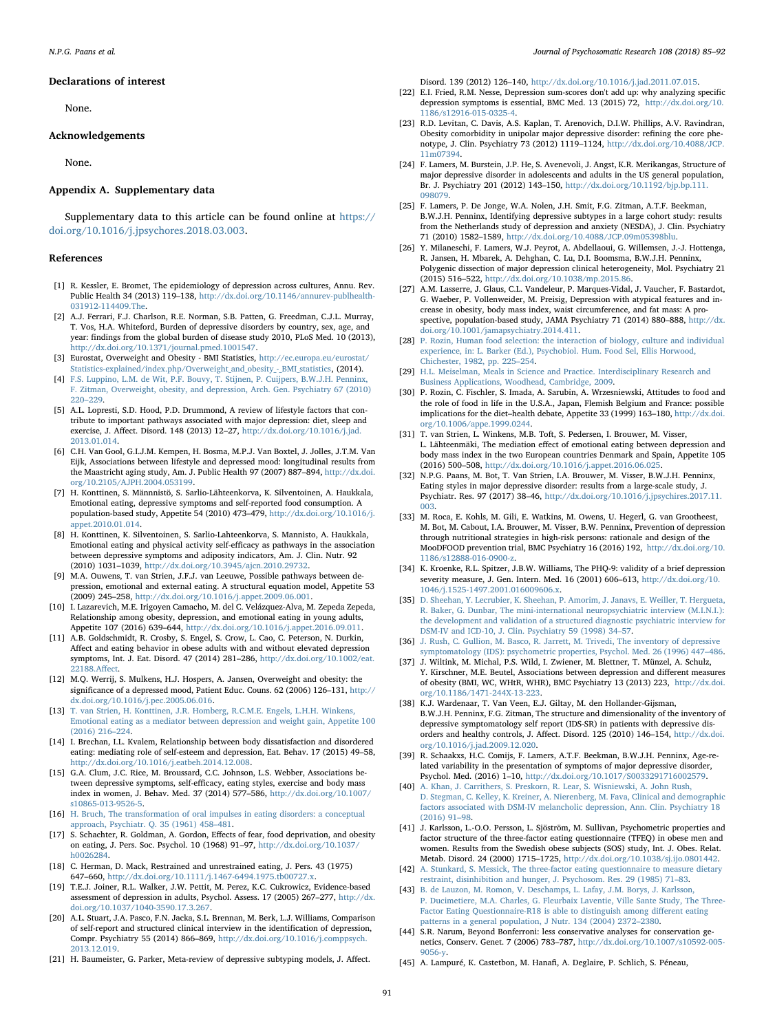#### Declarations of interest

None.

#### Acknowledgements

None.

#### Appendix A. Supplementary data

Supplementary data to this article can be found online at [https://](https://doi.org/10.1016/j.jpsychores.2018.03.003) [doi.org/10.1016/j.jpsychores.2018.03.003](https://doi.org/10.1016/j.jpsychores.2018.03.003).

## References

- <span id="page-6-0"></span>[1] R. Kessler, E. Bromet, The epidemiology of depression across cultures, Annu. Rev. Public Health 34 (2013) 119–138, [http://dx.doi.org/10.1146/annurev-publhealth-](http://dx.doi.org/10.1146/annurev-publhealth-031912-114409.The)[031912-114409.The.](http://dx.doi.org/10.1146/annurev-publhealth-031912-114409.The)
- <span id="page-6-1"></span>[2] A.J. Ferrari, F.J. Charlson, R.E. Norman, S.B. Patten, G. Freedman, C.J.L. Murray, T. Vos, H.A. Whiteford, Burden of depressive disorders by country, sex, age, and year: findings from the global burden of disease study 2010, PLoS Med. 10 (2013), [http://dx.doi.org/10.1371/journal.pmed.1001547.](http://dx.doi.org/10.1371/journal.pmed.1001547)
- <span id="page-6-2"></span>[3] Eurostat, Overweight and Obesity - BMI Statistics, [http://ec.europa.eu/eurostat/](http://Http://ec.europa.eu/eurostat/statistics-explained/index.php/Overweight_and_obesity_-_BMI_statistics) [Statistics-explained/index.php/Overweight\\_and\\_obesity\\_-\\_BMI\\_statistics,](http://Http://ec.europa.eu/eurostat/statistics-explained/index.php/Overweight_and_obesity_-_BMI_statistics) (2014).
- <span id="page-6-3"></span>[4] [F.S. Luppino, L.M. de Wit, P.F. Bouvy, T. Stijnen, P. Cuijpers, B.W.J.H. Penninx,](http://refhub.elsevier.com/S0022-3999(17)31190-X/rf0020) [F. Zitman, Overweight, obesity, and depression, Arch. Gen. Psychiatry 67 \(2010\)](http://refhub.elsevier.com/S0022-3999(17)31190-X/rf0020) 220–[229.](http://refhub.elsevier.com/S0022-3999(17)31190-X/rf0020)
- <span id="page-6-4"></span>[5] A.L. Lopresti, S.D. Hood, P.D. Drummond, A review of lifestyle factors that contribute to important pathways associated with major depression: diet, sleep and exercise, J. Affect. Disord. 148 (2013) 12–27, [http://dx.doi.org/10.1016/j.jad.](http://dx.doi.org/10.1016/j.jad.2013.01.014) [2013.01.014.](http://dx.doi.org/10.1016/j.jad.2013.01.014)
- <span id="page-6-5"></span>[6] C.H. Van Gool, G.I.J.M. Kempen, H. Bosma, M.P.J. Van Boxtel, J. Jolles, J.T.M. Van Eijk, Associations between lifestyle and depressed mood: longitudinal results from the Maastricht aging study, Am. J. Public Health 97 (2007) 887–894, [http://dx.doi.](http://dx.doi.org/10.2105/AJPH.2004.053199) [org/10.2105/AJPH.2004.053199.](http://dx.doi.org/10.2105/AJPH.2004.053199)
- <span id="page-6-6"></span>[7] H. Konttinen, S. Männnistö, S. Sarlio-Lähteenkorva, K. Silventoinen, A. Haukkala, Emotional eating, depressive symptoms and self-reported food consumption. A population-based study, Appetite 54 (2010) 473–479, [http://dx.doi.org/10.1016/j.](http://dx.doi.org/10.1016/j.appet.2010.01.014)  $\frac{1}{2010.01}$  01.014
- [8] H. Konttinen, K. Silventoinen, S. Sarlio-Lahteenkorva, S. Mannisto, A. Haukkala, Emotional eating and physical activity self-efficacy as pathways in the association between depressive symptoms and adiposity indicators, Am. J. Clin. Nutr. 92 (2010) 1031–1039, [http://dx.doi.org/10.3945/ajcn.2010.29732.](http://dx.doi.org/10.3945/ajcn.2010.29732)
- <span id="page-6-33"></span>[9] M.A. Ouwens, T. van Strien, J.F.J. van Leeuwe, Possible pathways between depression, emotional and external eating. A structural equation model, Appetite 53 (2009) 245–258, [http://dx.doi.org/10.1016/j.appet.2009.06.001.](http://dx.doi.org/10.1016/j.appet.2009.06.001)
- [10] I. Lazarevich, M.E. Irigoyen Camacho, M. del C. Velázquez-Alva, M. Zepeda Zepeda, Relationship among obesity, depression, and emotional eating in young adults, Appetite 107 (2016) 639–644, [http://dx.doi.org/10.1016/j.appet.2016.09.011.](http://dx.doi.org/10.1016/j.appet.2016.09.011)
- [11] A.B. Goldschmidt, R. Crosby, S. Engel, S. Crow, L. Cao, C. Peterson, N. Durkin, Affect and eating behavior in obese adults with and without elevated depression symptoms, Int. J. Eat. Disord. 47 (2014) 281–286, [http://dx.doi.org/10.1002/eat.](http://dx.doi.org/10.1002/eat.22188.Affect) [22188.A](http://dx.doi.org/10.1002/eat.22188.Affect)ffect.
- <span id="page-6-34"></span>[12] M.Q. Werrij, S. Mulkens, H.J. Hospers, A. Jansen, Overweight and obesity: the significance of a depressed mood, Patient Educ. Couns. 62 (2006) 126–131, [http://](http://dx.doi.org/10.1016/j.pec.2005.06.016) [dx.doi.org/10.1016/j.pec.2005.06.016.](http://dx.doi.org/10.1016/j.pec.2005.06.016)
- <span id="page-6-32"></span>[13] [T. van Strien, H. Konttinen, J.R. Homberg, R.C.M.E. Engels, L.H.H. Winkens,](http://refhub.elsevier.com/S0022-3999(17)31190-X/rf0065) [Emotional eating as a mediator between depression and weight gain, Appetite 100](http://refhub.elsevier.com/S0022-3999(17)31190-X/rf0065) [\(2016\) 216](http://refhub.elsevier.com/S0022-3999(17)31190-X/rf0065)–224.
- <span id="page-6-36"></span>[14] I. Brechan, I.L. Kvalem, Relationship between body dissatisfaction and disordered eating: mediating role of self-esteem and depression, Eat. Behav. 17 (2015) 49–58, [http://dx.doi.org/10.1016/j.eatbeh.2014.12.008.](http://dx.doi.org/10.1016/j.eatbeh.2014.12.008)
- <span id="page-6-35"></span>[15] G.A. Clum, J.C. Rice, M. Broussard, C.C. Johnson, L.S. Webber, Associations between depressive symptoms, self-efficacy, eating styles, exercise and body mass index in women, J. Behav. Med. 37 (2014) 577–586, [http://dx.doi.org/10.1007/](http://dx.doi.org/10.1007/s10865-013-9526-5) [s10865-013-9526-5.](http://dx.doi.org/10.1007/s10865-013-9526-5)
- <span id="page-6-7"></span>[16] [H. Bruch, The transformation of oral impulses in eating disorders: a conceptual](http://refhub.elsevier.com/S0022-3999(17)31190-X/rf0080) [approach, Psychiatr. Q. 35 \(1961\) 458](http://refhub.elsevier.com/S0022-3999(17)31190-X/rf0080)–481.
- <span id="page-6-8"></span>[17] S. Schachter, R. Goldman, A. Gordon, Effects of fear, food deprivation, and obesity on eating, J. Pers. Soc. Psychol. 10 (1968) 91–97, [http://dx.doi.org/10.1037/](http://dx.doi.org/10.1037/h0026284) [h0026284.](http://dx.doi.org/10.1037/h0026284)
- <span id="page-6-9"></span>[18] C. Herman, D. Mack, Restrained and unrestrained eating, J. Pers. 43 (1975) 647–660, [http://dx.doi.org/10.1111/j.1467-6494.1975.tb00727.x.](http://dx.doi.org/10.1111/j.1467-6494.1975.tb00727.x)
- <span id="page-6-10"></span>[19] T.E.J. Joiner, R.L. Walker, J.W. Pettit, M. Perez, K.C. Cukrowicz, Evidence-based assessment of depression in adults, Psychol. Assess. 17 (2005) 267–277, [http://dx.](http://dx.doi.org/10.1037/1040-3590.17.3.267) [doi.org/10.1037/1040-3590.17.3.267.](http://dx.doi.org/10.1037/1040-3590.17.3.267)
- <span id="page-6-11"></span>[20] A.L. Stuart, J.A. Pasco, F.N. Jacka, S.L. Brennan, M. Berk, L.J. Williams, Comparison of self-report and structured clinical interview in the identification of depression, Compr. Psychiatry 55 (2014) 866–869, [http://dx.doi.org/10.1016/j.comppsych.](http://dx.doi.org/10.1016/j.comppsych.2013.12.019) [2013.12.019.](http://dx.doi.org/10.1016/j.comppsych.2013.12.019)
- <span id="page-6-12"></span>[21] H. Baumeister, G. Parker, Meta-review of depressive subtyping models, J. Affect.

Disord. 139 (2012) 126–140, [http://dx.doi.org/10.1016/j.jad.2011.07.015.](http://dx.doi.org/10.1016/j.jad.2011.07.015)

- [22] E.I. Fried, R.M. Nesse, Depression sum-scores don't add up: why analyzing specific depression symptoms is essential, BMC Med. 13 (2015) 72, [http://dx.doi.org/10.](http://dx.doi.org/10.1186/s12916-015-0325-4) [1186/s12916-015-0325-4.](http://dx.doi.org/10.1186/s12916-015-0325-4)
- <span id="page-6-15"></span>[23] R.D. Levitan, C. Davis, A.S. Kaplan, T. Arenovich, D.I.W. Phillips, A.V. Ravindran, Obesity comorbidity in unipolar major depressive disorder: refining the core phenotype, J. Clin. Psychiatry 73 (2012) 1119–1124, [http://dx.doi.org/10.4088/JCP.](http://dx.doi.org/10.4088/JCP.11m07394) [11m07394.](http://dx.doi.org/10.4088/JCP.11m07394)
- [24] F. Lamers, M. Burstein, J.P. He, S. Avenevoli, J. Angst, K.R. Merikangas, Structure of major depressive disorder in adolescents and adults in the US general population, Br. J. Psychiatry 201 (2012) 143–150, [http://dx.doi.org/10.1192/bjp.bp.111.](http://dx.doi.org/10.1192/bjp.bp.111.098079) [098079.](http://dx.doi.org/10.1192/bjp.bp.111.098079)
- <span id="page-6-13"></span>[25] F. Lamers, P. De Jonge, W.A. Nolen, J.H. Smit, F.G. Zitman, A.T.F. Beekman, B.W.J.H. Penninx, Identifying depressive subtypes in a large cohort study: results from the Netherlands study of depression and anxiety (NESDA), J. Clin. Psychiatry 71 (2010) 1582–1589, [http://dx.doi.org/10.4088/JCP.09m05398blu.](http://dx.doi.org/10.4088/JCP.09m05398blu)
- <span id="page-6-14"></span>[26] Y. Milaneschi, F. Lamers, W.J. Peyrot, A. Abdellaoui, G. Willemsen, J.-J. Hottenga, R. Jansen, H. Mbarek, A. Dehghan, C. Lu, D.I. Boomsma, B.W.J.H. Penninx, Polygenic dissection of major depression clinical heterogeneity, Mol. Psychiatry 21 (2015) 516–522, [http://dx.doi.org/10.1038/mp.2015.86.](http://dx.doi.org/10.1038/mp.2015.86)
- <span id="page-6-16"></span>[27] A.M. Lasserre, J. Glaus, C.L. Vandeleur, P. Marques-Vidal, J. Vaucher, F. Bastardot, G. Waeber, P. Vollenweider, M. Preisig, Depression with atypical features and increase in obesity, body mass index, waist circumference, and fat mass: A prospective, population-based study, JAMA Psychiatry 71 (2014) 880–888, [http://dx.](http://dx.doi.org/10.1001/jamapsychiatry.2014.411) [doi.org/10.1001/jamapsychiatry.2014.411.](http://dx.doi.org/10.1001/jamapsychiatry.2014.411)
- <span id="page-6-17"></span>[28] [P. Rozin, Human food selection: the interaction of biology, culture and individual](http://refhub.elsevier.com/S0022-3999(17)31190-X/rf0140) [experience, in: L. Barker \(Ed.\), Psychobiol. Hum. Food Sel, Ellis Horwood,](http://refhub.elsevier.com/S0022-3999(17)31190-X/rf0140) [Chichester, 1982, pp. 225](http://refhub.elsevier.com/S0022-3999(17)31190-X/rf0140)–254.
- [29] [H.L. Meiselman, Meals in Science and Practice. Interdisciplinary Research and](http://refhub.elsevier.com/S0022-3999(17)31190-X/rf0145) [Business Applications, Woodhead, Cambridge, 2009.](http://refhub.elsevier.com/S0022-3999(17)31190-X/rf0145)
- [30] P. Rozin, C. Fischler, S. Imada, A. Sarubin, A. Wrzesniewski, Attitudes to food and the role of food in life in the U.S.A., Japan, Flemish Belgium and France: possible implications for the diet–health debate, Appetite 33 (1999) 163–180, [http://dx.doi.](http://dx.doi.org/10.1006/appe.1999.0244) [org/10.1006/appe.1999.0244.](http://dx.doi.org/10.1006/appe.1999.0244)
- <span id="page-6-18"></span>[31] T. van Strien, L. Winkens, M.B. Toft, S. Pedersen, I. Brouwer, M. Visser, L. Lähteenmäki, The mediation effect of emotional eating between depression and body mass index in the two European countries Denmark and Spain, Appetite 105 (2016) 500–508, [http://dx.doi.org/10.1016/j.appet.2016.06.025.](http://dx.doi.org/10.1016/j.appet.2016.06.025)
- <span id="page-6-19"></span>[32] N.P.G. Paans, M. Bot, T. Van Strien, I.A. Brouwer, M. Visser, B.W.J.H. Penninx, Eating styles in major depressive disorder: results from a large-scale study, J. Psychiatr. Res. 97 (2017) 38–46, [http://dx.doi.org/10.1016/j.jpsychires.2017.11.](http://dx.doi.org/10.1016/j.jpsychires.2017.11.003) [003.](http://dx.doi.org/10.1016/j.jpsychires.2017.11.003)
- <span id="page-6-20"></span>[33] M. Roca, E. Kohls, M. Gili, E. Watkins, M. Owens, U. Hegerl, G. van Grootheest, M. Bot, M. Cabout, I.A. Brouwer, M. Visser, B.W. Penninx, Prevention of depression through nutritional strategies in high-risk persons: rationale and design of the MooDFOOD prevention trial, BMC Psychiatry 16 (2016) 192, [http://dx.doi.org/10.](http://dx.doi.org/10.1186/s12888-016-0900-z) [1186/s12888-016-0900-z.](http://dx.doi.org/10.1186/s12888-016-0900-z)
- <span id="page-6-21"></span>[34] K. Kroenke, R.L. Spitzer, J.B.W. Williams, The PHQ-9: validity of a brief depression severity measure, J. Gen. Intern. Med. 16 (2001) 606–613, [http://dx.doi.org/10.](http://dx.doi.org/10.1046/j.1525-1497.2001.016009606.x) [1046/j.1525-1497.2001.016009606.x.](http://dx.doi.org/10.1046/j.1525-1497.2001.016009606.x)
- <span id="page-6-22"></span>[35] [D. Sheehan, Y. Lecrubier, K. Sheehan, P. Amorim, J. Janavs, E. Weiller, T. Hergueta,](http://refhub.elsevier.com/S0022-3999(17)31190-X/rf0175) [R. Baker, G. Dunbar, The mini-international neuropsychiatric interview \(M.I.N.I.\):](http://refhub.elsevier.com/S0022-3999(17)31190-X/rf0175) [the development and validation of a structured diagnostic psychiatric interview for](http://refhub.elsevier.com/S0022-3999(17)31190-X/rf0175) [DSM-IV and ICD-10, J. Clin. Psychiatry 59 \(1998\) 34](http://refhub.elsevier.com/S0022-3999(17)31190-X/rf0175)–57.
- <span id="page-6-23"></span>[36] [J. Rush, C. Gullion, M. Basco, R. Jarrett, M. Trivedi, The inventory of depressive](http://refhub.elsevier.com/S0022-3999(17)31190-X/rf0180) [symptomatology \(IDS\): psychometric properties, Psychol. Med. 26 \(1996\) 447](http://refhub.elsevier.com/S0022-3999(17)31190-X/rf0180)–486.
- <span id="page-6-24"></span>[37] J. Wiltink, M. Michal, P.S. Wild, I. Zwiener, M. Blettner, T. Münzel, A. Schulz, Y. Kirschner, M.E. Beutel, Associations between depression and different measures of obesity (BMI, WC, WHtR, WHR), BMC Psychiatry 13 (2013) 223, [http://dx.doi.](http://dx.doi.org/10.1186/1471-244X-13-223) [org/10.1186/1471-244X-13-223.](http://dx.doi.org/10.1186/1471-244X-13-223)
- [38] K.J. Wardenaar, T. Van Veen, E.J. Giltay, M. den Hollander-Gijsman, B.W.J.H. Penninx, F.G. Zitman, The structure and dimensionality of the inventory of depressive symptomatology self report (IDS-SR) in patients with depressive disorders and healthy controls, J. Affect. Disord. 125 (2010) 146–154, [http://dx.doi.](http://dx.doi.org/10.1016/j.jad.2009.12.020) [org/10.1016/j.jad.2009.12.020.](http://dx.doi.org/10.1016/j.jad.2009.12.020)
- <span id="page-6-25"></span>[39] R. Schaakxs, H.C. Comijs, F. Lamers, A.T.F. Beekman, B.W.J.H. Penninx, Age-related variability in the presentation of symptoms of major depressive disorder, Psychol. Med. (2016) 1–10, [http://dx.doi.org/10.1017/S0033291716002579.](http://dx.doi.org/10.1017/S0033291716002579)
- <span id="page-6-26"></span>[40] A. [Khan, J. Carrithers, S. Preskorn, R. Lear, S. Wisniewski, A. John Rush,](http://refhub.elsevier.com/S0022-3999(17)31190-X/rf0200) [D. Stegman, C. Kelley, K. Kreiner, A. Nierenberg, M. Fava, Clinical and demographic](http://refhub.elsevier.com/S0022-3999(17)31190-X/rf0200) [factors associated with DSM-IV melancholic depression, Ann. Clin. Psychiatry 18](http://refhub.elsevier.com/S0022-3999(17)31190-X/rf0200) [\(2016\) 91](http://refhub.elsevier.com/S0022-3999(17)31190-X/rf0200)–98.
- <span id="page-6-27"></span>[41] J. Karlsson, L.-O.O. Persson, L. Sjöström, M. Sullivan, Psychometric properties and factor structure of the three-factor eating questionnaire (TFEQ) in obese men and women. Results from the Swedish obese subjects (SOS) study, Int. J. Obes. Relat. Metab. Disord. 24 (2000) 1715–1725, [http://dx.doi.org/10.1038/sj.ijo.0801442.](http://dx.doi.org/10.1038/sj.ijo.0801442)
- <span id="page-6-28"></span>[42] [A. Stunkard, S. Messick, The three-factor eating questionnaire to measure dietary](http://refhub.elsevier.com/S0022-3999(17)31190-X/rf0210) [restraint, disinhibition and hunger, J. Psychosom. Res. 29 \(1985\) 71](http://refhub.elsevier.com/S0022-3999(17)31190-X/rf0210)–83.
- <span id="page-6-29"></span>[43] [B. de Lauzon, M. Romon, V. Deschamps, L. Lafay, J.M. Borys, J. Karlsson,](http://refhub.elsevier.com/S0022-3999(17)31190-X/rf0215) [P. Ducimetiere, M.A. Charles, G. Fleurbaix Laventie, Ville Sante Study, The Three-](http://refhub.elsevier.com/S0022-3999(17)31190-X/rf0215)[Factor Eating Questionnaire-R18 is able to distinguish among di](http://refhub.elsevier.com/S0022-3999(17)31190-X/rf0215)fferent eating [patterns in a general population, J Nutr. 134 \(2004\) 2372](http://refhub.elsevier.com/S0022-3999(17)31190-X/rf0215)–2380.
- <span id="page-6-30"></span>[44] S.R. Narum, Beyond Bonferroni: less conservative analyses for conservation genetics, Conserv. Genet. 7 (2006) 783–787, [http://dx.doi.org/10.1007/s10592-005-](http://dx.doi.org/10.1007/s10592-005-9056-y) [9056-y.](http://dx.doi.org/10.1007/s10592-005-9056-y)
- <span id="page-6-31"></span>[45] A. Lampuré, K. Castetbon, M. Hanafi, A. Deglaire, P. Schlich, S. Péneau,